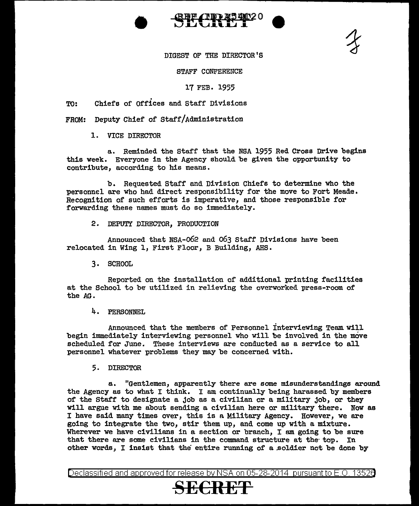



DIGEST OF THE DIRECTOR'S

STAFF CONFERENCE

17 FEB. 1955

. TO: Chiefs of Offices and Staff Divisions

 $FROM:$  Deputy Chief of Staff/Administration

1. VICE DIRECTOR

a. Reminded the Staff that the NSA 1955 Red Cross Drive begins this week. Everyone in the Agency should be given the opportunity to contribute, according to his means.

b. Requested Staff and Division Chiefs to determine who the personnel are who had direct responsibility for the move to Fort Meade. Recognition of such efforts is imperative, and those responsible for forwarding these names must do so immediately.

2. DEPUTY DIRECTOR, PRODUCTION

Announced that NSA-o62 and 063 Staff Divisions have been relocated in Wing l, First Floor, B Building, AHS.

3. SCHOOL

Reported on the installation of additional printing facilities at the School to be utilized in relieving the overworked press-room of the AG.

4. PERSONNEL

Announced that the members of Personnel Interviewing Team will begin immediately interviewing personnel who will be involved in the move scheduled for June. These interviews are conducted as a service to all personnel whatever problems they may be concerned with.

5. DIRECTOR

a.. "Gentlemen, apparently there are some misunderstandings around the Agency as to what I think. I am continually being harassed by members of the Staff to designate a job as a civilian or a military job, or they will argue with me about sending a civilian here or military there. Now as I have said many times over, this is a Military Agency. However, we are going to integrate the two, stir them up, and come up with a mixture. Wherever we have civilians in a section or branch, I am going to be sure that there are some civilians in the command structure at the top. In other words, I insist that the entire running of a .soldier not be done by

Declassified and approved for release by NSA on 05-28-2014 pursuantto E.O. 1352a